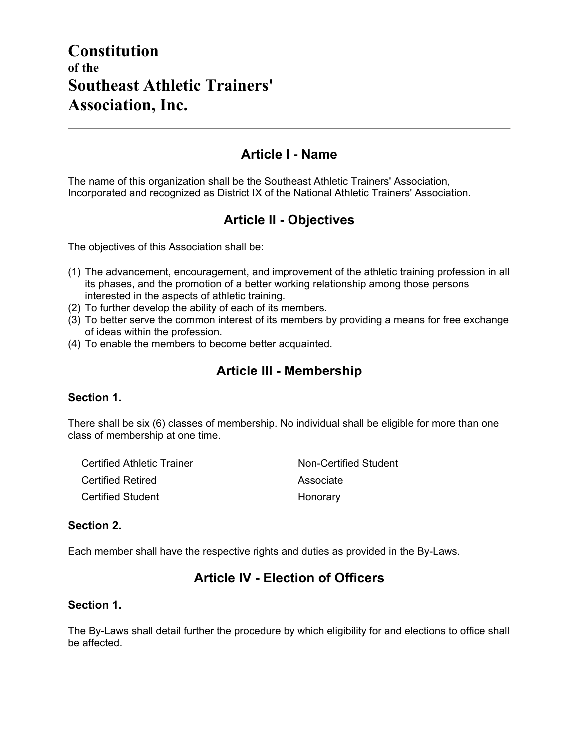# **Constitution of the Southeast Athletic Trainers' Association, Inc.**

### **Article I - Name**

The name of this organization shall be the Southeast Athletic Trainers' Association, Incorporated and recognized as District IX of the National Athletic Trainers' Association.

### **Article II - Objectives**

The objectives of this Association shall be:

- (1) The advancement, encouragement, and improvement of the athletic training profession in all its phases, and the promotion of a better working relationship among those persons interested in the aspects of athletic training.
- (2) To further develop the ability of each of its members.
- (3) To better serve the common interest of its members by providing a means for free exchange of ideas within the profession.
- (4) To enable the members to become better acquainted.

# **Article III - Membership**

#### **Section 1.**

There shall be six (6) classes of membership. No individual shall be eligible for more than one class of membership at one time.

| Certified Athletic Trainer | Non-Certified Student |
|----------------------------|-----------------------|
| <b>Certified Retired</b>   | Associate             |
| <b>Certified Student</b>   | Honorary              |

#### **Section 2.**

Each member shall have the respective rights and duties as provided in the By-Laws.

### **Article IV - Election of Officers**

#### **Section 1.**

The By-Laws shall detail further the procedure by which eligibility for and elections to office shall be affected.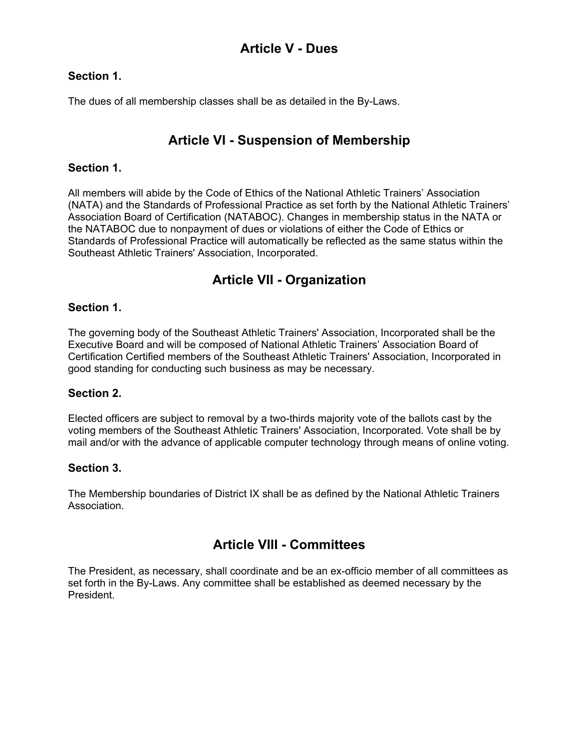# **Article V - Dues**

#### **Section 1.**

The dues of all membership classes shall be as detailed in the By-Laws.

# **Article VI - Suspension of Membership**

#### **Section 1.**

All members will abide by the Code of Ethics of the National Athletic Trainers' Association (NATA) and the Standards of Professional Practice as set forth by the National Athletic Trainers' Association Board of Certification (NATABOC). Changes in membership status in the NATA or the NATABOC due to nonpayment of dues or violations of either the Code of Ethics or Standards of Professional Practice will automatically be reflected as the same status within the Southeast Athletic Trainers' Association, Incorporated.

## **Article VII - Organization**

#### **Section 1.**

The governing body of the Southeast Athletic Trainers' Association, Incorporated shall be the Executive Board and will be composed of National Athletic Trainers' Association Board of Certification Certified members of the Southeast Athletic Trainers' Association, Incorporated in good standing for conducting such business as may be necessary.

#### **Section 2.**

Elected officers are subject to removal by a two-thirds majority vote of the ballots cast by the voting members of the Southeast Athletic Trainers' Association, Incorporated. Vote shall be by mail and/or with the advance of applicable computer technology through means of online voting.

#### **Section 3.**

The Membership boundaries of District IX shall be as defined by the National Athletic Trainers Association.

## **Article VIII - Committees**

The President, as necessary, shall coordinate and be an ex-officio member of all committees as set forth in the By-Laws. Any committee shall be established as deemed necessary by the President.